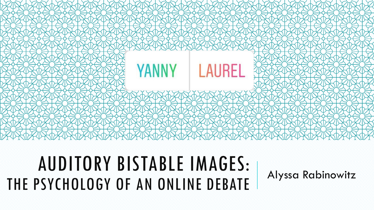

## AUDITORY BISTABLE IMAGES: THE PSYCHOLOGY OF AN ONLINE DEBATE Alyssa Rabinowitz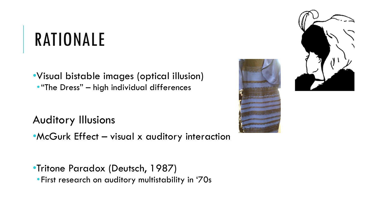# RATIONALE

•Visual bistable images (optical illusion) •"The Dress" – high individual differences

Auditory Illusions

• McGurk Effect – visual x auditory interaction

•Tritone Paradox (Deutsch, 1987) •First research on auditory multistability in '70s



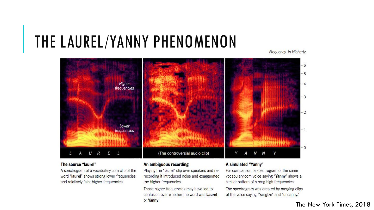#### THE LAUREL/YANNY PHENOMENON

Frequency, in kilohertz



#### The source "laurel"

A spectrogram of a vocabulary.com clip of the word "laurel" shows strong lower frequencies and relatively faint higher frequencies.

#### An ambiguous recording

Playing the "laurel" clip over speakers and rerecording it introduced noise and exaggerated the higher frequencies.

Those higher frequencies may have led to confusion over whether the word was Laurel or Yanny.

#### A simulated "Yanny"

For comparison, a spectrogram of the same vocabulary.com voice saying "Yanny" shows a similar pattern of strong high frequencies.

The spectrogram was created by merging clips of the voice saying "Yangtze" and "uncanny."

#### The New York Times, 2018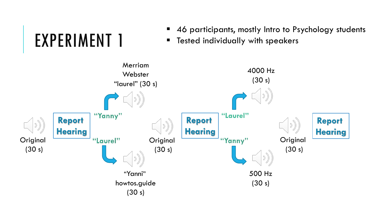#### 46 participants, mostly Intro to Psychology students

**Tested individually with speakers** 



EXPERIMENT 1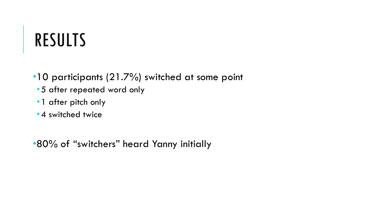# RESULTS

- •10 participants (21.7%) switched at some point
	- •5 after repeated word only
	- •1 after pitch only
	- •4 switched twice

•80% of "switchers" heard Yanny initially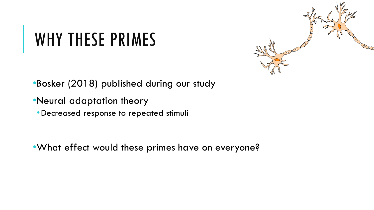## WHY THESE PRIMES



•Bosker (2018) published during our study

- •Neural adaptation theory
	- •Decreased response to repeated stimuli

•What effect would these primes have on everyone?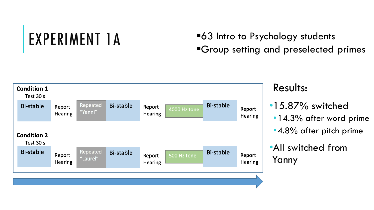## EXPERIMENT 1A

#### ■63 Intro to Psychology students **"Group setting and preselected primes**



#### Results:

- •15.87% switched
	- •14.3% after word prime
	- •4.8% after pitch prime
- •All switched from Yanny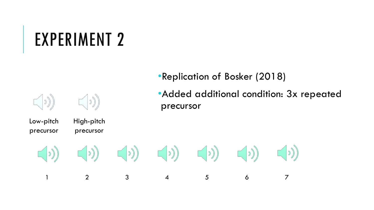## EXPERIMENT 2

High-pitch

 $\left(\left(\circ\right)$ 

precursor

Low-pitch

 $| 2)$ 

precursor

•Replication of Bosker (2018)

•Added additional condition: 3x repeated precursor

 $\begin{pmatrix} 0 \end{pmatrix} \qquad \qquad \begin{pmatrix} 0 \end{pmatrix} \qquad \qquad \begin{pmatrix} 0 \end{pmatrix} \qquad \qquad \begin{pmatrix} 0 \end{pmatrix} \qquad \qquad \begin{pmatrix} 0 \end{pmatrix}$  $(\mathbb{C}^{\mathbb{C}})$  $(\circ)$  $(\cdot | \cdot)$ 1 2 3 4 5 6 7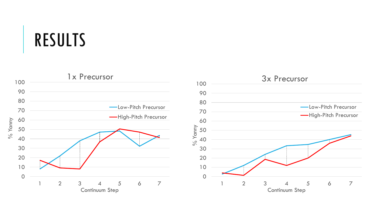## RESULTS

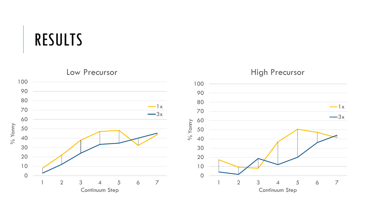#### RESULTS